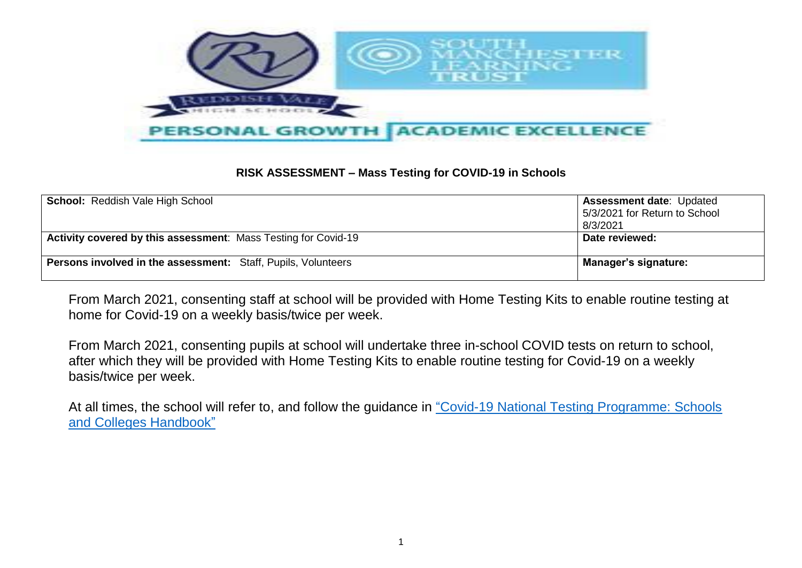

## **RISK ASSESSMENT – Mass Testing for COVID-19 in Schools**

| <b>School: Reddish Vale High School</b>                              | <b>Assessment date: Updated</b><br>5/3/2021 for Return to School<br>8/3/2021 |
|----------------------------------------------------------------------|------------------------------------------------------------------------------|
| Activity covered by this assessment: Mass Testing for Covid-19       | Date reviewed:                                                               |
| <b>Persons involved in the assessment:</b> Staff, Pupils, Volunteers | Manager's signature:                                                         |

From March 2021, consenting staff at school will be provided with Home Testing Kits to enable routine testing at home for Covid-19 on a weekly basis/twice per week.

From March 2021, consenting pupils at school will undertake three in-school COVID tests on return to school, after which they will be provided with Home Testing Kits to enable routine testing for Covid-19 on a weekly basis/twice per week.

At all times, the school will refer to, and follow the guidance in "Covid-19 National Testing Programme: Schools [and Colleges Handbook"](https://www.gov.uk/guidance/asymptomatic-testing-in-schools-and-colleges)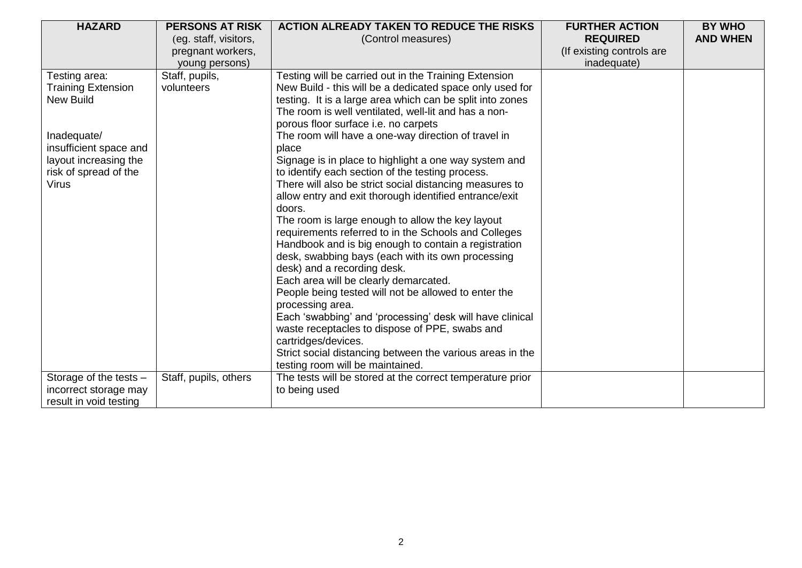| <b>HAZARD</b>             | <b>PERSONS AT RISK</b> | <b>ACTION ALREADY TAKEN TO REDUCE THE RISKS</b>           | <b>FURTHER ACTION</b>     | <b>BY WHO</b>   |
|---------------------------|------------------------|-----------------------------------------------------------|---------------------------|-----------------|
|                           | (eg. staff, visitors,  | (Control measures)                                        | <b>REQUIRED</b>           | <b>AND WHEN</b> |
|                           | pregnant workers,      |                                                           | (If existing controls are |                 |
|                           | young persons)         |                                                           | inadequate)               |                 |
| Testing area:             | Staff, pupils,         | Testing will be carried out in the Training Extension     |                           |                 |
| <b>Training Extension</b> | volunteers             | New Build - this will be a dedicated space only used for  |                           |                 |
| <b>New Build</b>          |                        | testing. It is a large area which can be split into zones |                           |                 |
|                           |                        | The room is well ventilated, well-lit and has a non-      |                           |                 |
|                           |                        | porous floor surface i.e. no carpets                      |                           |                 |
| Inadequate/               |                        | The room will have a one-way direction of travel in       |                           |                 |
| insufficient space and    |                        | place                                                     |                           |                 |
| layout increasing the     |                        | Signage is in place to highlight a one way system and     |                           |                 |
| risk of spread of the     |                        | to identify each section of the testing process.          |                           |                 |
| <b>Virus</b>              |                        | There will also be strict social distancing measures to   |                           |                 |
|                           |                        | allow entry and exit thorough identified entrance/exit    |                           |                 |
|                           |                        | doors.                                                    |                           |                 |
|                           |                        | The room is large enough to allow the key layout          |                           |                 |
|                           |                        | requirements referred to in the Schools and Colleges      |                           |                 |
|                           |                        | Handbook and is big enough to contain a registration      |                           |                 |
|                           |                        | desk, swabbing bays (each with its own processing         |                           |                 |
|                           |                        | desk) and a recording desk.                               |                           |                 |
|                           |                        | Each area will be clearly demarcated.                     |                           |                 |
|                           |                        | People being tested will not be allowed to enter the      |                           |                 |
|                           |                        | processing area.                                          |                           |                 |
|                           |                        | Each 'swabbing' and 'processing' desk will have clinical  |                           |                 |
|                           |                        | waste receptacles to dispose of PPE, swabs and            |                           |                 |
|                           |                        | cartridges/devices.                                       |                           |                 |
|                           |                        | Strict social distancing between the various areas in the |                           |                 |
|                           |                        | testing room will be maintained.                          |                           |                 |
| Storage of the tests -    | Staff, pupils, others  | The tests will be stored at the correct temperature prior |                           |                 |
| incorrect storage may     |                        | to being used                                             |                           |                 |
| result in void testing    |                        |                                                           |                           |                 |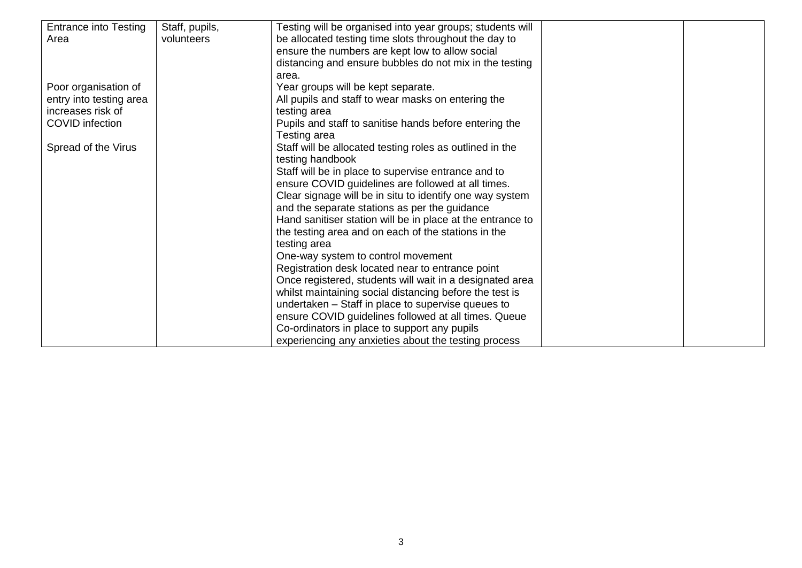| <b>Entrance into Testing</b> | Staff, pupils, | Testing will be organised into year groups; students will  |  |
|------------------------------|----------------|------------------------------------------------------------|--|
| Area                         | volunteers     | be allocated testing time slots throughout the day to      |  |
|                              |                | ensure the numbers are kept low to allow social            |  |
|                              |                | distancing and ensure bubbles do not mix in the testing    |  |
|                              |                | area.                                                      |  |
| Poor organisation of         |                | Year groups will be kept separate.                         |  |
| entry into testing area      |                | All pupils and staff to wear masks on entering the         |  |
| increases risk of            |                | testing area                                               |  |
| <b>COVID</b> infection       |                | Pupils and staff to sanitise hands before entering the     |  |
|                              |                | Testing area                                               |  |
| Spread of the Virus          |                | Staff will be allocated testing roles as outlined in the   |  |
|                              |                | testing handbook                                           |  |
|                              |                | Staff will be in place to supervise entrance and to        |  |
|                              |                | ensure COVID guidelines are followed at all times.         |  |
|                              |                | Clear signage will be in situ to identify one way system   |  |
|                              |                | and the separate stations as per the guidance              |  |
|                              |                | Hand sanitiser station will be in place at the entrance to |  |
|                              |                | the testing area and on each of the stations in the        |  |
|                              |                | testing area                                               |  |
|                              |                | One-way system to control movement                         |  |
|                              |                | Registration desk located near to entrance point           |  |
|                              |                | Once registered, students will wait in a designated area   |  |
|                              |                | whilst maintaining social distancing before the test is    |  |
|                              |                | undertaken - Staff in place to supervise queues to         |  |
|                              |                | ensure COVID guidelines followed at all times. Queue       |  |
|                              |                | Co-ordinators in place to support any pupils               |  |
|                              |                | experiencing any anxieties about the testing process       |  |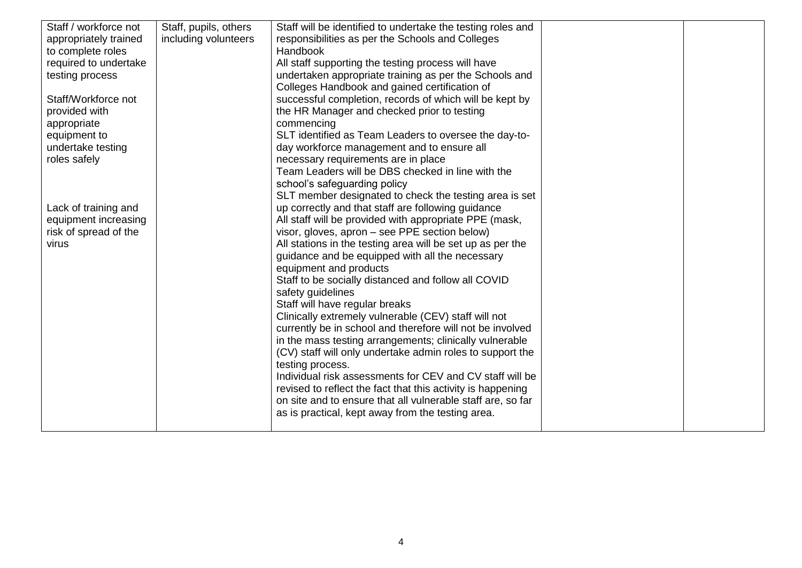| Staff / workforce not | Staff, pupils, others | Staff will be identified to undertake the testing roles and |  |
|-----------------------|-----------------------|-------------------------------------------------------------|--|
| appropriately trained | including volunteers  | responsibilities as per the Schools and Colleges            |  |
| to complete roles     |                       | <b>Handbook</b>                                             |  |
| required to undertake |                       | All staff supporting the testing process will have          |  |
| testing process       |                       | undertaken appropriate training as per the Schools and      |  |
|                       |                       | Colleges Handbook and gained certification of               |  |
| Staff/Workforce not   |                       | successful completion, records of which will be kept by     |  |
| provided with         |                       | the HR Manager and checked prior to testing                 |  |
| appropriate           |                       | commencing                                                  |  |
| equipment to          |                       | SLT identified as Team Leaders to oversee the day-to-       |  |
| undertake testing     |                       | day workforce management and to ensure all                  |  |
| roles safely          |                       | necessary requirements are in place                         |  |
|                       |                       | Team Leaders will be DBS checked in line with the           |  |
|                       |                       | school's safeguarding policy                                |  |
|                       |                       | SLT member designated to check the testing area is set      |  |
| Lack of training and  |                       | up correctly and that staff are following guidance          |  |
| equipment increasing  |                       | All staff will be provided with appropriate PPE (mask,      |  |
| risk of spread of the |                       | visor, gloves, apron - see PPE section below)               |  |
| virus                 |                       | All stations in the testing area will be set up as per the  |  |
|                       |                       | guidance and be equipped with all the necessary             |  |
|                       |                       | equipment and products                                      |  |
|                       |                       | Staff to be socially distanced and follow all COVID         |  |
|                       |                       | safety guidelines                                           |  |
|                       |                       | Staff will have regular breaks                              |  |
|                       |                       | Clinically extremely vulnerable (CEV) staff will not        |  |
|                       |                       | currently be in school and therefore will not be involved   |  |
|                       |                       | in the mass testing arrangements; clinically vulnerable     |  |
|                       |                       | (CV) staff will only undertake admin roles to support the   |  |
|                       |                       | testing process.                                            |  |
|                       |                       | Individual risk assessments for CEV and CV staff will be    |  |
|                       |                       | revised to reflect the fact that this activity is happening |  |
|                       |                       | on site and to ensure that all vulnerable staff are, so far |  |
|                       |                       | as is practical, kept away from the testing area.           |  |
|                       |                       |                                                             |  |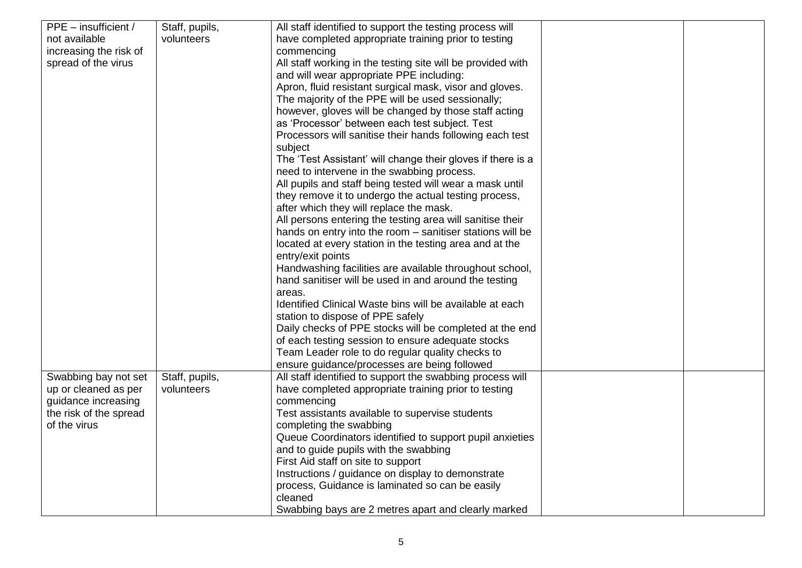| PPE – insufficient /   | Staff, pupils, | All staff identified to support the testing process will    |  |
|------------------------|----------------|-------------------------------------------------------------|--|
| not available          | volunteers     | have completed appropriate training prior to testing        |  |
| increasing the risk of |                | commencing                                                  |  |
| spread of the virus    |                | All staff working in the testing site will be provided with |  |
|                        |                | and will wear appropriate PPE including:                    |  |
|                        |                | Apron, fluid resistant surgical mask, visor and gloves.     |  |
|                        |                | The majority of the PPE will be used sessionally;           |  |
|                        |                | however, gloves will be changed by those staff acting       |  |
|                        |                | as 'Processor' between each test subject. Test              |  |
|                        |                | Processors will sanitise their hands following each test    |  |
|                        |                | subject                                                     |  |
|                        |                | The 'Test Assistant' will change their gloves if there is a |  |
|                        |                | need to intervene in the swabbing process.                  |  |
|                        |                | All pupils and staff being tested will wear a mask until    |  |
|                        |                | they remove it to undergo the actual testing process,       |  |
|                        |                | after which they will replace the mask.                     |  |
|                        |                | All persons entering the testing area will sanitise their   |  |
|                        |                | hands on entry into the room - sanitiser stations will be   |  |
|                        |                | located at every station in the testing area and at the     |  |
|                        |                | entry/exit points                                           |  |
|                        |                | Handwashing facilities are available throughout school,     |  |
|                        |                | hand sanitiser will be used in and around the testing       |  |
|                        |                | areas.                                                      |  |
|                        |                | Identified Clinical Waste bins will be available at each    |  |
|                        |                | station to dispose of PPE safely                            |  |
|                        |                | Daily checks of PPE stocks will be completed at the end     |  |
|                        |                | of each testing session to ensure adequate stocks           |  |
|                        |                | Team Leader role to do regular quality checks to            |  |
|                        |                | ensure guidance/processes are being followed                |  |
| Swabbing bay not set   | Staff, pupils, | All staff identified to support the swabbing process will   |  |
| up or cleaned as per   | volunteers     | have completed appropriate training prior to testing        |  |
| guidance increasing    |                | commencing                                                  |  |
| the risk of the spread |                | Test assistants available to supervise students             |  |
| of the virus           |                | completing the swabbing                                     |  |
|                        |                | Queue Coordinators identified to support pupil anxieties    |  |
|                        |                | and to guide pupils with the swabbing                       |  |
|                        |                | First Aid staff on site to support                          |  |
|                        |                | Instructions / guidance on display to demonstrate           |  |
|                        |                | process, Guidance is laminated so can be easily             |  |
|                        |                | cleaned                                                     |  |
|                        |                | Swabbing bays are 2 metres apart and clearly marked         |  |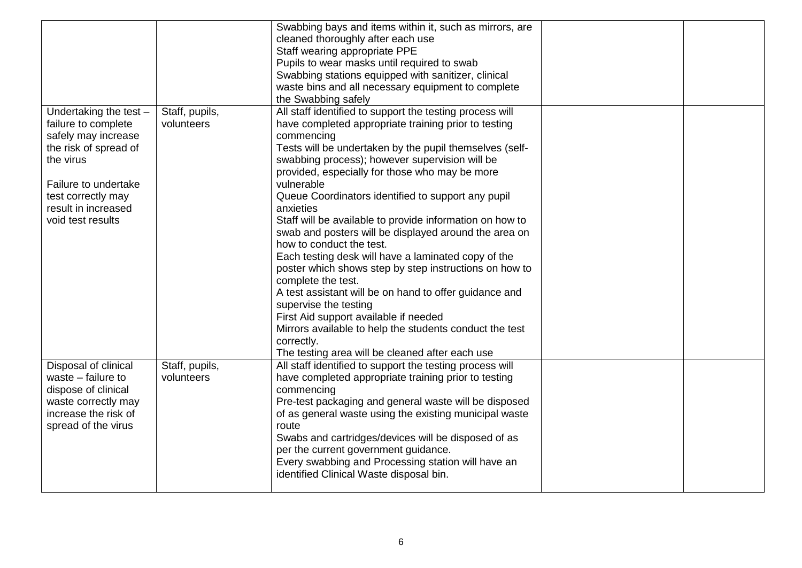|                                                                                                                                                                                                      |                              | Swabbing bays and items within it, such as mirrors, are<br>cleaned thoroughly after each use<br>Staff wearing appropriate PPE<br>Pupils to wear masks until required to swab<br>Swabbing stations equipped with sanitizer, clinical<br>waste bins and all necessary equipment to complete<br>the Swabbing safely                                                                                                                                                                                                                                                                       |  |
|------------------------------------------------------------------------------------------------------------------------------------------------------------------------------------------------------|------------------------------|----------------------------------------------------------------------------------------------------------------------------------------------------------------------------------------------------------------------------------------------------------------------------------------------------------------------------------------------------------------------------------------------------------------------------------------------------------------------------------------------------------------------------------------------------------------------------------------|--|
| Undertaking the test -<br>failure to complete<br>safely may increase<br>the risk of spread of<br>the virus<br>Failure to undertake<br>test correctly may<br>result in increased<br>void test results | Staff, pupils,<br>volunteers | All staff identified to support the testing process will<br>have completed appropriate training prior to testing<br>commencing<br>Tests will be undertaken by the pupil themselves (self-<br>swabbing process); however supervision will be<br>provided, especially for those who may be more<br>vulnerable<br>Queue Coordinators identified to support any pupil<br>anxieties<br>Staff will be available to provide information on how to<br>swab and posters will be displayed around the area on<br>how to conduct the test.<br>Each testing desk will have a laminated copy of the |  |
|                                                                                                                                                                                                      |                              | poster which shows step by step instructions on how to<br>complete the test.<br>A test assistant will be on hand to offer guidance and<br>supervise the testing<br>First Aid support available if needed<br>Mirrors available to help the students conduct the test<br>correctly.<br>The testing area will be cleaned after each use                                                                                                                                                                                                                                                   |  |
| Disposal of clinical<br>waste $-$ failure to<br>dispose of clinical<br>waste correctly may<br>increase the risk of<br>spread of the virus                                                            | Staff, pupils,<br>volunteers | All staff identified to support the testing process will<br>have completed appropriate training prior to testing<br>commencing<br>Pre-test packaging and general waste will be disposed<br>of as general waste using the existing municipal waste<br>route<br>Swabs and cartridges/devices will be disposed of as<br>per the current government guidance.<br>Every swabbing and Processing station will have an<br>identified Clinical Waste disposal bin.                                                                                                                             |  |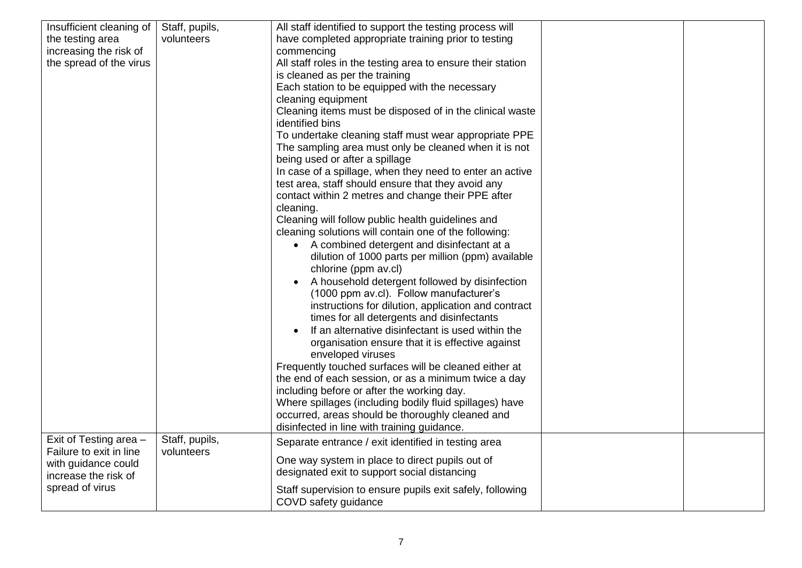| Insufficient cleaning of                    | Staff, pupils, | All staff identified to support the testing process will                          |  |
|---------------------------------------------|----------------|-----------------------------------------------------------------------------------|--|
| the testing area                            | volunteers     | have completed appropriate training prior to testing                              |  |
| increasing the risk of                      |                | commencing                                                                        |  |
| the spread of the virus                     |                | All staff roles in the testing area to ensure their station                       |  |
|                                             |                | is cleaned as per the training                                                    |  |
|                                             |                | Each station to be equipped with the necessary                                    |  |
|                                             |                | cleaning equipment                                                                |  |
|                                             |                | Cleaning items must be disposed of in the clinical waste                          |  |
|                                             |                | identified bins                                                                   |  |
|                                             |                | To undertake cleaning staff must wear appropriate PPE                             |  |
|                                             |                | The sampling area must only be cleaned when it is not                             |  |
|                                             |                | being used or after a spillage                                                    |  |
|                                             |                | In case of a spillage, when they need to enter an active                          |  |
|                                             |                | test area, staff should ensure that they avoid any                                |  |
|                                             |                | contact within 2 metres and change their PPE after                                |  |
|                                             |                | cleaning.                                                                         |  |
|                                             |                | Cleaning will follow public health guidelines and                                 |  |
|                                             |                | cleaning solutions will contain one of the following:                             |  |
|                                             |                | • A combined detergent and disinfectant at a                                      |  |
|                                             |                | dilution of 1000 parts per million (ppm) available                                |  |
|                                             |                | chlorine (ppm av.cl)                                                              |  |
|                                             |                | A household detergent followed by disinfection<br>$\bullet$                       |  |
|                                             |                | (1000 ppm av.cl). Follow manufacturer's                                           |  |
|                                             |                | instructions for dilution, application and contract                               |  |
|                                             |                | times for all detergents and disinfectants                                        |  |
|                                             |                | If an alternative disinfectant is used within the                                 |  |
|                                             |                | organisation ensure that it is effective against                                  |  |
|                                             |                | enveloped viruses                                                                 |  |
|                                             |                | Frequently touched surfaces will be cleaned either at                             |  |
|                                             |                | the end of each session, or as a minimum twice a day                              |  |
|                                             |                | including before or after the working day.                                        |  |
|                                             |                | Where spillages (including bodily fluid spillages) have                           |  |
|                                             |                | occurred, areas should be thoroughly cleaned and                                  |  |
|                                             |                | disinfected in line with training guidance.                                       |  |
| Exit of Testing area -                      | Staff, pupils, | Separate entrance / exit identified in testing area                               |  |
| Failure to exit in line                     | volunteers     | One way system in place to direct pupils out of                                   |  |
| with guidance could<br>increase the risk of |                | designated exit to support social distancing                                      |  |
|                                             |                |                                                                                   |  |
| spread of virus                             |                | Staff supervision to ensure pupils exit safely, following<br>COVD safety guidance |  |